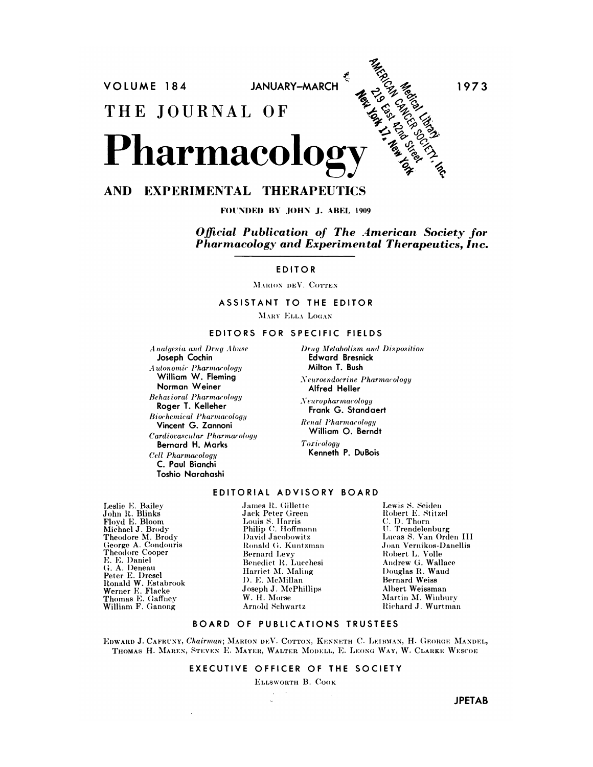MARIO MERICAN **JANUARY-MARCH** VOLUME 184 1973 THE JOURNAL OF Pharmacolog

# AND EXPERIMENTAL THERAPEUTICS

FOUNDED BY JOHN J. ABEL 1909

Official Publication of The American Society for Pharmacology and Experimental Therapeutics, Inc.

**EDITOR** 

MARION DEV. COTTEN

ASSISTANT TO THE EDITOR

MARY ELLA LOGAN

#### EDITORS FOR SPECIFIC FIELDS

Analgesia and Drug Abuse Joseph Cochin Autonomic Pharmacology William W. Fleming Norman Weiner **Behavioral Pharmacology** Roger T. Kelleher **Biochemical Pharmacology** Vincent G. Zannoni Cardiovascular Pharmacology **Bernard H. Marks** Cell Pharmacology C. Paul Bianchi Toshio Narahashi

 $\ddot{\phantom{a}}$ 

Drug Metabolism and Disposition **Edward Bresnick** Milton T. Bush

Neuroendocrine Pharmacology Alfred Heller

Neuropharmacology Frank G. Standaert

**Renal Pharmacology** William O. Berndt

Toxicology Kenneth P. DuBois

# EDITORIAL ADVISORY BOARD

Leslie E. Bailey John R. Blinks<br>Floyd E. Bloom<br>Michael J. Brody Theodore M. Brody George A. Condouris Theodore Cooper E. E. Daniel G. A. Deneau er. A. Demeau<br>Peter E. Dresel<br>Ronald W. Estabrook<br>Werner E. Flacke<br>Thomas E. Gaffney William F. Ganong

James R. Gillette Jack Peter Green Louis S. Harris<br>Philip C. Hoffmann David Jacobowitz Ronald G. Kuntzman Bernard Levy Benedict R. Lucchesi Harriet M. Maling D. E. McMillan Joseph J. McPhillips W. H. Morse Arnold Schwartz

Lewis S. Seiden<br>Robert E. Stitzel C. D. Thorn U. Trendelenburg Lucas S. Van Orden III Joan Vernikos-Danellis Robert L. Volle Andrew G. Wallace Douglas R. Waud **Bernard Weiss** Albert Weissman Martin M. Winbury Richard J. Wurtman

## BOARD OF PUBLICATIONS TRUSTEES

EDWARD J. CAFRUNY, Chairman; MARION DEV. COTTON, KENNETH C. LEIBMAN, H. GEORGE MANDEL, THOMAS H. MAREN, STEVEN E. MAYER, WALTER MODELL, E. LEONG WAY, W. CLARKE WESCOE

### EXECUTIVE OFFICER OF THE SOCIETY

ELLSWORTH B. COOK

**JPETAB**